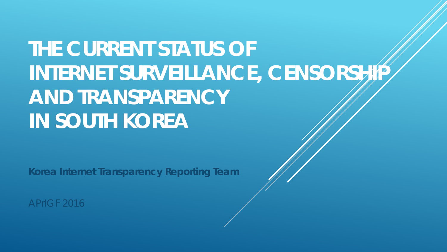**THE CURRENT STATUS OF INTERNET SURVEILLANCE, CENSORSHIP AND TRANSPARENCY IN SOUTH KOREA**

**Korea Internet Transparency Reporting Team** 

APrIGF 2016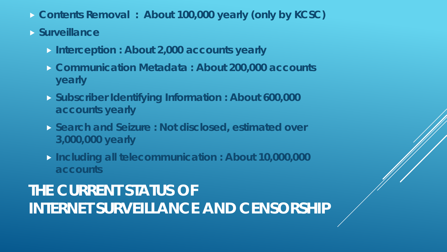- **Contents Removal : About 100,000 yearly (only by KCSC)**
- **Surveillance** 
	- **Interception : About 2,000 accounts yearly**
	- **Communication Metadata : About 200,000 accounts yearly**
	- **Subscriber Identifying Information : About 600,000 accounts yearly**
	- **Search and Seizure : Not disclosed, estimated over 3,000,000 yearly**
	- **Including all telecommunication : About 10,000,000 accounts**

## **THE CURRENT STATUS OF INTERNET SURVEILLANCE AND CENSORSHIP**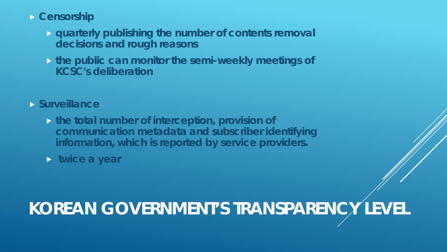#### **Censorship**

- **quarterly publishing the number of contents removal decisions and rough reasons**
- **the public can monitor the semi-weekly meetings of KCSC's deliberation**

### **Surveillance**

 **the total number of interception, provision of communication metadata and subscriber identifying information, which is reported by service providers.**

**twice a year**

# **KOREAN GOVERNMENT'S TRANSPARENCY LEVEL**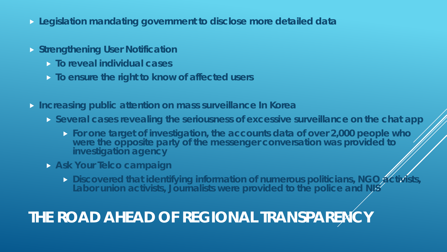- **Legislation mandating government to disclose more detailed data**
- **Strengthening User Notification** 
	- **To reveal individual cases**
	- **To ensure the right to know of affected users**
- **Increasing public attention on mass surveillance In Korea**
	- **Several cases revealing the seriousness of excessive surveillance on the chat app** 
		- **For one target of investigation, the accounts data of over 2,000 people who were the opposite party of the messenger conversation was provided to investigation agency**
	- **Ask Your Telco campaign** 
		- **Discovered that identifying information of numerous politicians, NGO activists Labor union activists, Journalists were provided to the police and NIS**

# **THE ROAD AHEAD OF REGIONAL TRANSPARENCY**